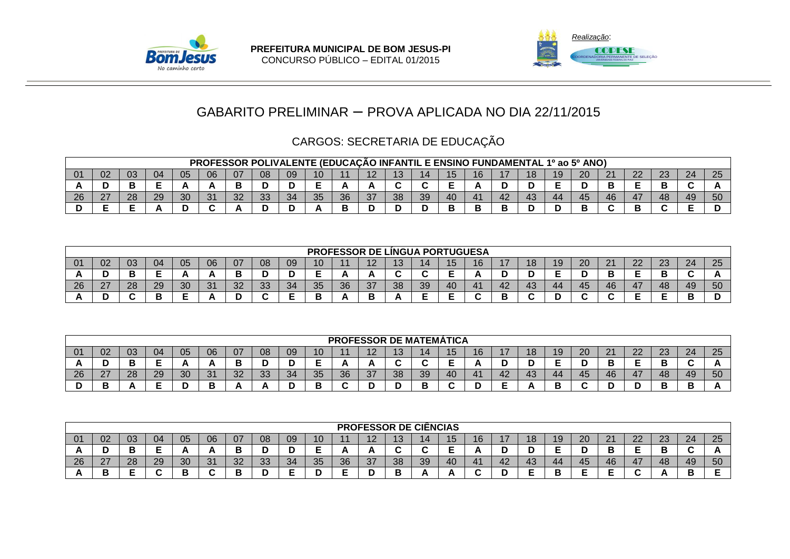



# CARGOS: SECRETARIA DE EDUCAÇÃO

|           |        |    |    |    |    |    |           |          |    |     |                                        |    | PROFESSOR POLIVALENTE (EDUCAÇÃO INFANTIL E ENSINO FUNDAMENTAL 1º ao 5º ANO) |    |    |    |    |              |    |                                         |    |    |
|-----------|--------|----|----|----|----|----|-----------|----------|----|-----|----------------------------------------|----|-----------------------------------------------------------------------------|----|----|----|----|--------------|----|-----------------------------------------|----|----|
|           | 0z     |    | 04 | ∪5 | 06 | 07 | 08        | 09       | 10 |     | $\overline{\phantom{a}}$<br>. <i>.</i> |    |                                                                             | ∪ו | 16 | 18 | 20 | n,           | ററ | ົດ<br>دے                                | 24 |    |
|           |        |    | -  |    |    |    |           |          |    |     |                                        |    |                                                                             |    |    |    |    |              |    |                                         |    |    |
| റമ<br>-40 | $\sim$ | ററ | 29 | 30 | 31 | 32 | າາ<br>نان | $\Omega$ | 35 | ิวค | $\sim$<br>ີ                            | 38 | 39                                                                          |    | Δ' | 43 | 45 | $46^{\circ}$ | 47 | $\Delta$ <sup><math>\Omega</math></sup> | 49 | πn |
|           |        |    |    |    |    |    |           |          |    |     |                                        |    |                                                                             |    |    |    |    |              |    |                                         |    |    |

|               |                                                                                                                                            |    |    |    |    |    |    |    |    |    |    |                          | PROFESSOR DE LÍNGUA PORTUGUESA |    |          |    |    |    |        |    |    |    |    |    |
|---------------|--------------------------------------------------------------------------------------------------------------------------------------------|----|----|----|----|----|----|----|----|----|----|--------------------------|--------------------------------|----|----------|----|----|----|--------|----|----|----|----|----|
|               | 25<br>08<br>06<br>20<br>22<br>24<br>16<br>റാ<br>07<br>09<br>05<br>18<br>19<br>$\sim$<br>04<br>03<br>02<br>21<br>10<br>14<br>دے<br>≀∠<br>∪ו |    |    |    |    |    |    |    |    |    |    |                          |                                |    |          |    |    |    |        |    |    |    |    |    |
|               |                                                                                                                                            |    | -  |    |    |    |    |    |    |    | A  | $\overline{\phantom{a}}$ | $\sim$<br>ີ                    | -  | <b>n</b> |    | ◡  |    |        |    |    |    |    |    |
| $\sim$<br>-40 | ^7                                                                                                                                         | 28 | 29 | 30 | 31 | 32 | 33 | 34 | 35 | 36 | 37 | 38                       | 39                             | 40 | 41       | 42 | 43 | 44 | 45     | 46 | 47 | 48 | 49 | 50 |
|               |                                                                                                                                            |    |    |    |    |    |    |    |    |    | P  |                          | -                              |    |          |    |    |    | $\sim$ |    |    |    |    | ш  |

|     |               |     |    |    |          |    |          |    |    |    | <b>PROFESSOR DE MATEMÁTICA</b> |    |    |     |    |                |    |     |    |    |           |          |    |    |
|-----|---------------|-----|----|----|----------|----|----------|----|----|----|--------------------------------|----|----|-----|----|----------------|----|-----|----|----|-----------|----------|----|----|
| -01 | 02            | -03 | 04 | 05 | 06       | 07 | 08       | 09 | 10 |    | $\sqrt{2}$<br>. <i>.</i> .     |    |    | ט ו | 16 | $\blacksquare$ | 18 | 19. | 20 | n, | nn.<br>22 | ററ<br>دے | 24 | 25 |
| T.  |               | ◡   | -  |    | <b>n</b> |    |          |    | -  |    |                                |    |    |     |    |                |    |     |    |    | -         |          |    |    |
| -26 | ົ<br><u>_</u> | 28  | 29 | 30 | 24<br>◡  | ററ | ററ<br>აა | 34 | 35 | 36 | 27                             | ာဝ | 39 | -40 | 41 | 42             | 43 | 44  | 45 | 46 | 47        | 48       | 49 | 50 |
|     |               |     | -  |    | −        |    |          |    |    |    |                                |    |    |     |    |                |    |     |    |    |           |          |    |    |

|                |              |    |    |          |               |              |          |                |    |    | <b>PROFESSOR DE CIËNCIAS</b> |                        |    |    |                    |    |    |    |    |                |         |          |    |    |
|----------------|--------------|----|----|----------|---------------|--------------|----------|----------------|----|----|------------------------------|------------------------|----|----|--------------------|----|----|----|----|----------------|---------|----------|----|----|
| 0 <sub>1</sub> | 02           | 03 | 04 | 05       | 06            |              | 08       | 09             | 10 |    |                              | $\sqrt{2}$<br><b>J</b> |    |    | 1 C<br>$\mathbf C$ |    | 18 | 19 | 20 | c.<br><u>L</u> | ົ<br>∠∠ | ດດ<br>دے | 24 | 25 |
|                | ՝            |    |    |          | n             |              |          |                | -  |    |                              |                        |    |    |                    |    | ՝  |    |    |                |         |          |    |    |
| 26             | 27<br>$\sim$ | 28 | 29 | ാറ<br>ບບ | $\Omega$<br>ີ | $\cap$<br>◡▵ | ററ<br>ഄഄ | $\Omega$<br>34 | 35 | 36 | 27                           | 38                     | 39 | 40 | 41                 | 42 | 43 | 44 | 45 | 46             | 47      | 48       | 49 | 50 |
|                | В            | -  |    |          |               | . .          |          |                |    |    |                              |                        |    |    |                    |    | -  |    |    |                |         |          | Ð  |    |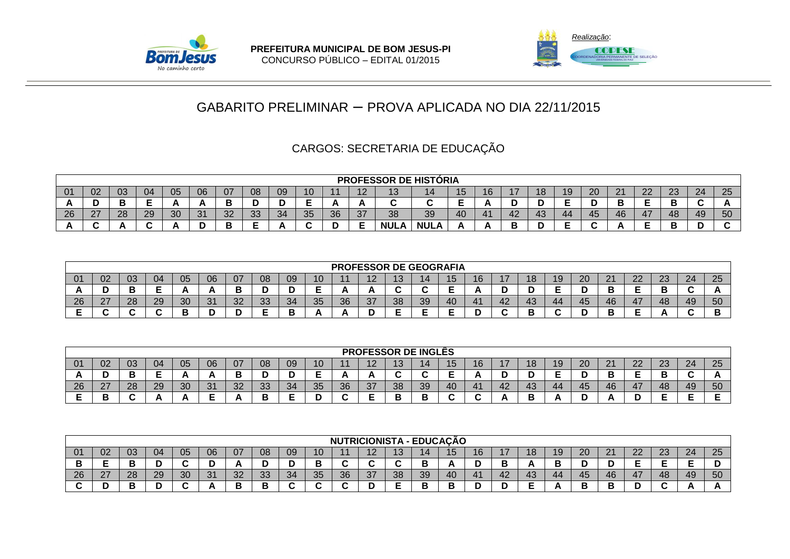



# CARGOS: SECRETARIA DE EDUCAÇÃO

|    |                                                                                                                                                                                                                |    |    |    |                                      |          |           |    |    |    |                      |             | <b>PROFESSOR DE HISTÓRIA</b> |          |            |        |    |     |    |    |     |    |    |
|----|----------------------------------------------------------------------------------------------------------------------------------------------------------------------------------------------------------------|----|----|----|--------------------------------------|----------|-----------|----|----|----|----------------------|-------------|------------------------------|----------|------------|--------|----|-----|----|----|-----|----|----|
| 01 | 25<br>24<br>$\Omega$<br>09<br>06<br>02<br>03<br>$\sqrt{2}$<br>$\Omega$<br>07<br>nn.<br>05<br>$\sim$<br>08<br>10<br>16<br>04<br>ZU<br>∠⊾<br>$\overline{ }$<br>$\sim$<br>ּ∪י<br>. .<br>$\epsilon$<br>$\sim$<br>Ð |    |    |    |                                      |          |           |    |    |    |                      |             |                              |          |            |        |    |     |    |    |     |    |    |
|    |                                                                                                                                                                                                                |    |    |    |                                      |          |           |    | -  |    | <i><u>r</u></i>      |             | u                            | -        |            | ◡      |    |     | ь  | -  | ш   |    |    |
| 26 | 27                                                                                                                                                                                                             | 28 | 29 | 30 | $\Omega$<br>$\mathbf{\mathcal{C}}$ . | ാറ<br>◡∠ | nn.<br>◡◡ | 34 | 35 | 36 | $\mathcal{F}$<br>، ب | 38          | 39                           | 40       | $\Delta$ 1 | 42     | 44 | 45  | 46 | 47 | -48 | 49 | 50 |
|    |                                                                                                                                                                                                                |    |    |    |                                      |          | -<br>-    |    | ີ  |    |                      | <b>NULA</b> | <b>NULA</b>                  | <u>r</u> |            | n<br>◡ |    | . . |    |    | ▃   |    |    |

|                         |                      |          |    |    |            |           |    |    |    |    | <b>PROFESSOR DE GEOGRAFIA</b> |     |    |    |    |    |    |    |    |    |                |          |    |          |
|-------------------------|----------------------|----------|----|----|------------|-----------|----|----|----|----|-------------------------------|-----|----|----|----|----|----|----|----|----|----------------|----------|----|----------|
| $\mathbf{\mathsf{v}}$ . | UZ.                  | υə       | 04 | 05 | 06         | 07        | 08 | 09 | 10 |    | $\overline{ }$<br>. e         | ט ו |    | ັບ | 16 |    | 18 | 19 | ZU | n. | $\Omega$<br>22 | ററ<br>دے | 24 | 25       |
| ΓW.                     |                      |          | -  |    | π,         |           | н  |    |    |    | n.                            |     |    |    | n. | ∼  | ◡  |    |    |    | -<br>-         |          |    | <b>n</b> |
| 26                      | $\sim$<br>$\epsilon$ | ററ<br>20 | 29 | 30 | -21<br>ا ب | ົດຕ<br>ےت | 33 | 34 | 35 | 36 | 37                            | 38  | 39 | 40 | 41 | 42 | 43 | 44 | 45 | 46 | 47             | 48       | 49 | 50       |
|                         |                      |          |    |    |            |           | -  |    | n  | r  |                               |     |    |    |    |    | -  |    |    |    | -<br>-         |          |    | -<br>ш   |

|     |                    |        |        |     |    |         |    |    |                 |    | <b>PROFESSOR DE INGLÊS</b> |                     |    |    |                      |                       |          |    |    |                    |                |           |        |    |
|-----|--------------------|--------|--------|-----|----|---------|----|----|-----------------|----|----------------------------|---------------------|----|----|----------------------|-----------------------|----------|----|----|--------------------|----------------|-----------|--------|----|
| -01 | 02                 | -03    | 04     | -05 | 06 | 07      | 08 | 09 | 10 <sub>1</sub> |    | $\Lambda$                  | $\overline{A}$<br>J |    | ∪ו | 16                   | . .<br>$\blacksquare$ | 18       | 19 | 20 | $\Omega$<br>$\sim$ | $\Omega$<br>22 | ററ<br>ZJ. | 24     | 25 |
|     |                    | в<br>◡ | -<br>- |     |    |         |    |    | ∽               |    |                            |                     |    |    |                      |                       |          |    |    |                    | -              |           | $\sim$ |    |
| 26  | דר<br>$\mathbf{r}$ | 28     | 29     | 30  | 31 | റ<br>ےت | 33 | 34 | 35              | 36 | 37                         | 38                  | 39 | 40 | 41                   | 42                    | 43       | 44 | 45 | 46                 | 47             | 48        | 49     | 50 |
|     |                    |        |        |     | -  |         | U  | -  |                 |    |                            |                     |    |    | $\ddot{\phantom{1}}$ |                       | -<br>. . |    |    |                    | ш              | -         |        |    |

|    |              |    |        |    |    |                |    |    |          |    | <b>NUTRICIONISTA - EDUCAÇÃO</b>       |    |    |    |    |    |    |    |    |    |    |          |    |          |
|----|--------------|----|--------|----|----|----------------|----|----|----------|----|---------------------------------------|----|----|----|----|----|----|----|----|----|----|----------|----|----------|
| 01 | 02           | 03 | 04     | 05 | 06 | 07             | 08 | 09 | 10       |    | $\overline{\phantom{a}}$<br><u>. </u> |    |    | ıэ | 16 |    | 18 | 19 | 20 | າາ | 22 | റാ<br>20 | 24 | つに<br>دے |
|    |              |    | -<br>՝ |    | −  |                |    |    |          |    |                                       |    | В  |    | ш  |    |    |    |    |    | -  |          |    |          |
| 26 | דר<br>$\sim$ | 28 | 29     | 30 | 31 | $\Omega$<br>ےت | 33 | 34 | 25<br>⊽⊽ | 36 | 37                                    | 38 | 39 | 40 | 41 | 42 | 43 | 44 | 45 | 46 | 47 | 48       | 49 | 50       |
|    |              |    | -      |    |    | ш              | ▫  |    |          |    |                                       |    | в  |    |    |    | -  |    |    |    |    |          |    |          |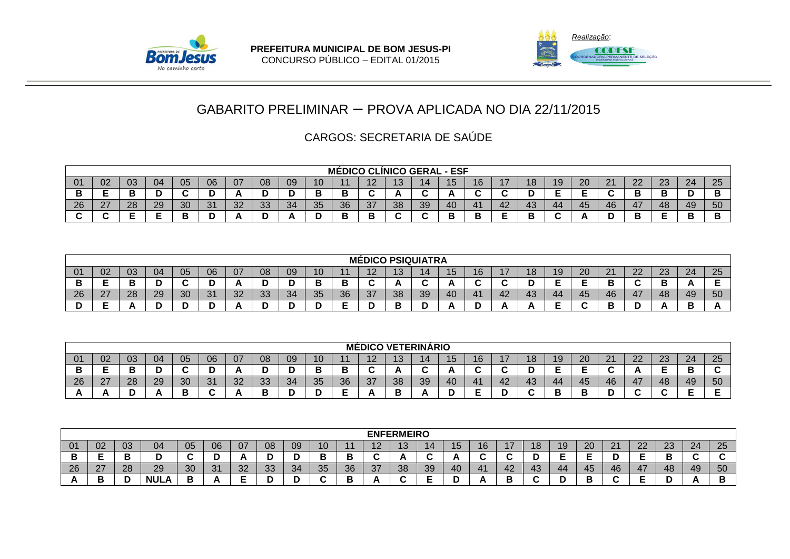



|                |    |          |    |    |    |    |           |    |    |    |                          |    | <b>MÉDICO CLÍNICO GERAL - ESF</b> |    |             |    |    |    |    |                |              |    |    |
|----------------|----|----------|----|----|----|----|-----------|----|----|----|--------------------------|----|-----------------------------------|----|-------------|----|----|----|----|----------------|--------------|----|----|
| 0 <sup>1</sup> | 02 | 03       | 04 | 05 | 06 | 07 | 08        | 09 | 10 |    |                          | ∪ו |                                   | ∪ו | 16          | 18 | 19 | 20 |    | $\Omega$<br>∠∠ | $\sim$<br>ΖU | 24 | 25 |
|                | -  |          |    |    |    |    |           |    |    |    | $\overline{\phantom{a}}$ |    | ~<br>∼                            |    | $\sim$<br>ີ |    |    | -  |    |                |              |    |    |
| റല<br>20       | 27 | ററ<br>∠o | 29 | ?∩ | 21 | າດ | っっ<br>نان | 34 | 35 | 36 | 37                       | 38 | 39                                | 40 | 4.          | 43 | 44 | 45 | 46 | 47             | 48           | 49 | 50 |
|                |    |          |    |    |    |    |           |    |    |    | Р                        |    |                                   |    |             |    |    |    |    |                |              | r  |    |

|          |                  |    |    |    |    |                |                |              |        |        |                          |                          | <b>MÉDICO PSIQUIATRA</b> |    |        |                 |    |    |                  |                |          |    |              |
|----------|------------------|----|----|----|----|----------------|----------------|--------------|--------|--------|--------------------------|--------------------------|--------------------------|----|--------|-----------------|----|----|------------------|----------------|----------|----|--------------|
|          | 02               | 03 | 04 | 05 | 06 | 07             | 08             | 09           | 10     |        | 1 C                      | $\overline{\phantom{a}}$ | 14                       |    |        | 18 <sup>°</sup> | 19 | 20 | ີ<br><u>_</u>    | ົ<br><u>__</u> | ററ<br>دے | 24 | $\cap$<br>دے |
|          | -                |    |    |    |    |                |                |              | Е<br>- | Е      | $\overline{\phantom{a}}$ |                          |                          |    |        |                 |    |    |                  |                |          |    |              |
| nr<br>∠o | $\sim$<br>$\sim$ | 28 | 29 | 30 | 31 | $\Omega$<br>ےت | $\Omega$<br>◡◡ | $\sim$<br>34 | 35     | 36     | $\sim$<br>31             | $\Omega$<br>ပပ           | 39                       | 41 | $\sim$ | TV              | 44 | 45 | $\sqrt{ }$<br>46 |                | 48       | 49 | 50           |
|          | -                |    |    |    |    |                |                |              | -      | -<br>- |                          |                          |                          | -  |        | Ð               |    |    | -                | -<br>н         |          | -  |              |

|    |                 |    |    |    |        |    |         |          |    |    | <b>MEDICO</b> |    | <b>\ VETERINÁRIO</b> |     |    |        |        |     |    |                    |    |          |    |    |
|----|-----------------|----|----|----|--------|----|---------|----------|----|----|---------------|----|----------------------|-----|----|--------|--------|-----|----|--------------------|----|----------|----|----|
| 01 | 02 <sub>o</sub> | 03 | 04 | 05 | 06     | 07 | 08      | 09       | 10 |    | 1 O<br>. .    | 40 |                      |     | 16 |        | 18     | 19. | 20 | $\sim$<br><u>_</u> | 22 | ററ<br>دے | 24 | 25 |
| P  | -               |    |    |    | -<br>ש |    | -       |          |    |    |               |    |                      |     |    | $\sim$ |        |     | -  |                    |    |          |    |    |
| 26 | 27<br>$\sim$    | 28 | 29 | 30 | 31     | 32 | າາ<br>ು | 21<br>◡∸ | 35 | 36 | 37            | 38 | 39                   | -40 | 41 | 42     | 43     | 44  | 45 | 46                 | 47 | 48       | 49 | 50 |
|    |                 |    |    |    | . .    |    | -       |          |    | ▃  |               |    |                      |     | -  |        | $\sim$ |     | −  |                    |    |          |    |    |

|            |               |    |      |    |               |                |         |    |                          |          |        | <b>ENFERMEIRO</b> |           |     |           |        |     |    |    |                  |         |           |    |                          |
|------------|---------------|----|------|----|---------------|----------------|---------|----|--------------------------|----------|--------|-------------------|-----------|-----|-----------|--------|-----|----|----|------------------|---------|-----------|----|--------------------------|
| -01        | 02            | 03 | 04   | 05 | 06            | 07             | 08      | 09 | ιU                       |          | . .    | c                 |           |     |           | . .    | 18  | 19 | 20 | $\sim$<br>$\sim$ | ററ<br>L | ററ<br>ں ے | 24 | つに<br>w                  |
|            |               |    |      |    | ــ            | <b>n</b>       |         |    | -                        |          |        |                   | -         |     |           | $\sim$ | י   |    |    |                  | -       |           | -  | $\overline{\phantom{a}}$ |
| 26         | $\sim$<br>L I | 28 | 29   | 30 | $\Omega$<br>ີ | $\Omega$<br>ےت | 22<br>◡ | 34 | つに<br><u>JJ</u>          | 36<br>◡◡ | $\sim$ | 38                | -20<br>∪ບ | 40  | 41<br>. . | 42     | -43 | 44 | 45 | 46               | 47      | 48        | 49 | 50                       |
| $\sqrt{ }$ | Ð<br>٠        |    | NUL. | D  |               | -              |         |    | $\overline{\phantom{a}}$ |          |        |                   |           | . . | Ð         | Ð<br>P |     |    | -  | $\sim$           |         |           |    |                          |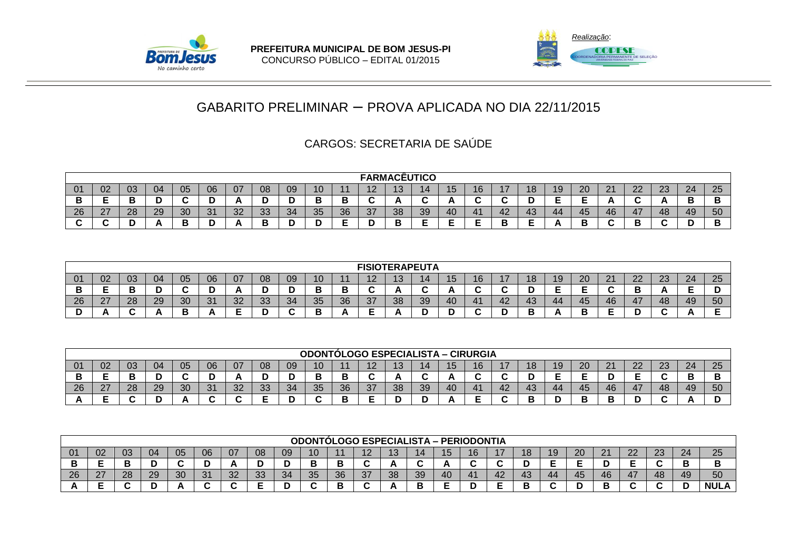



|     |                    |          |    |          |    |          |          |    |        |    | <b>FARMACÊUTICO</b> |            |    |    |        |    |    |    |    |    |    |          |    |        |
|-----|--------------------|----------|----|----------|----|----------|----------|----|--------|----|---------------------|------------|----|----|--------|----|----|----|----|----|----|----------|----|--------|
| -01 | 02                 | 03       | 04 | 05       | 06 | 07       | 08       | 09 | ιU     |    | - י<br>. <u>.</u>   | 1 ິ<br>ں ו |    |    | 70.    |    | ΙO | 19 | 20 | ິ  | ററ | ററ<br>دے | 24 | 25     |
|     | ▃                  |          |    |          |    |          |          |    | E<br>- |    | $\sim$              | . .        | ◠  |    |        |    | ◡  | -  |    |    |    |          |    | ◡      |
| 26  | $\sim$<br>$\angle$ | ററ<br>20 | 29 | 20<br>υc | 31 | າດ<br>ےں | วว<br>ບບ | 34 | 35     | 36 | $\sim$<br>31        | 38         | 39 | 40 | $-41$  | 42 | 43 | 44 | 45 | 46 | 47 | 48       | 49 | 50     |
|     |                    |          |    |          |    |          |          |    |        |    |                     |            |    | -  | -<br>- | ., | -  |    |    |    |    |          |    | Ð<br>Е |

|                 |    |    |    |          |           |    |    |    |          |    | <b>FISIOTERAPEUTA</b> |    |    |    |        |    |     |     |    |      |                 |           |    |          |
|-----------------|----|----|----|----------|-----------|----|----|----|----------|----|-----------------------|----|----|----|--------|----|-----|-----|----|------|-----------------|-----------|----|----------|
| $\overline{01}$ | 02 | 03 | 04 | 05       | 06        | 07 | 08 | 09 | 10       |    | --<br>. .             | ~  |    | ∪ו | 16     |    | I O | 1 0 | 20 | ິດ 4 | າາ<br><u>__</u> | nn.<br>∠J | 24 | つに<br>∠∪ |
|                 | -  | -  | ◡  |          | ш         |    |    |    |          |    |                       |    |    |    | ~      |    |     |     | -  |      |                 |           | -  |          |
| -26             | ົ  | 28 | 29 | ററ<br>υc | - 24<br>ີ | nr | 33 | 34 | つに<br>⊽⊽ | 36 | 37                    | 38 | 39 | 40 | 41     | 42 | 43  | 44  | 45 | 46   | 47              | 48        | 49 | 50       |
|                 |    |    |    |          |           | ـ  |    |    |          |    |                       |    | -  |    | $\sim$ |    |     |     |    |      |                 |           |    |          |

|    |                 |    |    |    |    |     |    |    | <b>ODONTÓLOGO ESPECIALISTA – CIRURGIA</b> |    |    |    |    |    |    |     |    |    |        |    |          |           |    |    |
|----|-----------------|----|----|----|----|-----|----|----|-------------------------------------------|----|----|----|----|----|----|-----|----|----|--------|----|----------|-----------|----|----|
| 01 | 02 <sub>o</sub> | 03 | 04 | 05 | 06 | 07  | 08 | 09 | 10                                        |    | 10 | ı  | 14 |    | 16 |     | 18 | 19 | 20     | 21 | ົດ<br>22 | ົດລ<br>دے | 24 | 25 |
| P  | -               |    |    |    | ՝  |     |    |    | ــ                                        |    |    |    |    |    |    |     |    |    |        |    | _<br>–   |           |    |    |
| 26 | 27<br>$\sim$    | 28 | 29 | 30 | 31 | -32 | 33 | 34 | 35                                        | 36 | 37 | 38 | 39 | 40 | 41 | -42 | 43 | 44 | 45     | 46 | 47       | 48        | 49 | 50 |
|    | -               |    |    |    |    | ∼   | -  |    |                                           |    | -  |    |    |    |    |     |    |    | E<br>▃ |    | -<br>ш   |           |    |    |

|     |                  |    |    |    |    |                |    |    |          |    |           |                   | <b>ODONTÓLOGO ESPECIALISTA - PERIODONTIA</b> |     |   |    |     |     |    |    |    |          |      |             |
|-----|------------------|----|----|----|----|----------------|----|----|----------|----|-----------|-------------------|----------------------------------------------|-----|---|----|-----|-----|----|----|----|----------|------|-------------|
| -01 | 02               | 03 | 04 | 05 | 06 | 07             | 08 | 09 | טו       |    |           | $\sqrt{2}$<br>ּשו | 1 Л                                          | ט ו |   |    | ı o |     | 20 | 21 | n  | ററ<br>∠⊃ | ົາ 1 | 25          |
| P   | -                |    |    |    | ՝  |                |    |    |          |    |           |                   |                                              |     |   | ∼  |     |     |    |    |    |          |      |             |
| 26  | $\sim$<br>$\sim$ | 28 | 29 | 30 | 21 | $\Omega$<br>∠د | 33 | 34 | 25<br>ບ∪ | 36 | ົດ<br>، ب | 38                | $30^{\circ}$<br>∪ບ                           | -40 |   | 42 | 43  | -44 | 45 | 46 | 47 | 48       | 49   | 50          |
|     |                  |    |    |    |    |                |    |    |          | -  |           |                   |                                              |     | − |    |     |     |    |    |    |          |      | <b>NULA</b> |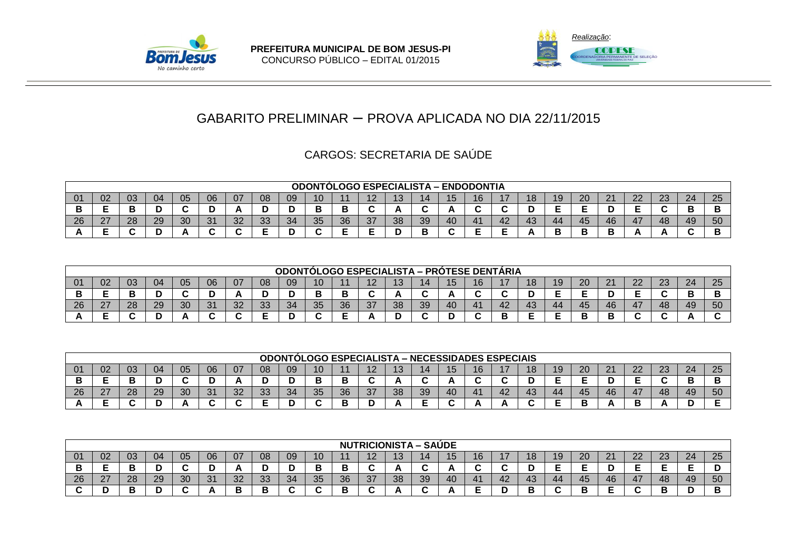



|     |                                                                                                                                                     |    |        |    |          |    |    |    |    | <b>ODONTÓLOGO ESPECIALISTA - ENDODONTIA</b> |    |    |    |    |    |     |    |    |    |    |    |    |    |
|-----|-----------------------------------------------------------------------------------------------------------------------------------------------------|----|--------|----|----------|----|----|----|----|---------------------------------------------|----|----|----|----|----|-----|----|----|----|----|----|----|----|
| -01 | 20<br>06<br>າາ<br>24<br>02<br>05<br>08<br>04<br>າາ<br>03<br>07<br>09<br>n.<br>10<br>10<br>16<br>19<br>40<br>4 O<br>l O<br>∠∠<br>دے<br><u>L</u><br>ı |    |        |    |          |    |    |    |    |                                             |    |    |    |    |    | 25  |    |    |    |    |    |    |    |
|     |                                                                                                                                                     |    | -<br>м |    |          |    | м  |    | ш  |                                             |    |    |    |    |    |     | ັ  |    | -  |    |    | ш  |    |
| -26 | ົ<br><u>.</u>                                                                                                                                       | 28 | 29     | 30 | -21<br>ັ | ററ | 33 | 34 | 35 | 36                                          | 37 | 38 | 39 | 40 | 41 | -42 | 43 | 44 | 45 | 46 | 47 | 49 | 50 |
|     |                                                                                                                                                     |    | -<br>υ |    | -        |    | _  |    |    |                                             | -  |    |    |    |    |     |    |    |    |    |    |    |    |

|    |              |    |    |    |            |    |    | <b>ODONTOLOGO</b> |                 |    | <b>ESPECIALISTA – PROTESE DENTARIA</b> |                |    |    |        |    |    |    |    |              |    |          |    |    |
|----|--------------|----|----|----|------------|----|----|-------------------|-----------------|----|----------------------------------------|----------------|----|----|--------|----|----|----|----|--------------|----|----------|----|----|
| 01 | 02           | 03 | 04 | 05 | 06         | 07 | 08 | 09                | 10 <sup>°</sup> |    |                                        | $\overline{A}$ |    | ∪ו | 16     |    | 18 |    | 20 | $\mathbf{A}$ | 22 | ററ<br>دے | 24 | 25 |
|    |              |    | ՝  |    | ◡          |    | ш  |                   | о               |    |                                        |                |    |    | -<br>ີ |    | н  | -  | -  |              | -  |          |    |    |
| 26 | דר<br>$\sim$ | 28 | 29 | 30 | -21<br>ا ب | 32 | 33 | 34                | 35              | 36 | 37                                     | 38             | 39 | 40 | 41     | 42 | 43 | 44 | 45 | 46           | 47 | 48       | 49 | 50 |
|    |              |    | м  |    | . .        |    | -  |                   |                 |    |                                        |                |    |    |        |    |    |    | B  |              |    |          |    |    |

|    |                    |    |    |    |    |    |    |    |    |    | <b>ODONTOLOGO ESPECIALISTA – NECESSIDADES ESPECIAIS</b> |           |    |    |    |     |    |    |    |         |          |         |    |    |
|----|--------------------|----|----|----|----|----|----|----|----|----|---------------------------------------------------------|-----------|----|----|----|-----|----|----|----|---------|----------|---------|----|----|
| 01 | 02                 | 03 | 04 | 05 | 06 | 07 | 08 | 09 | 10 |    | $\sqrt{2}$                                              | 1 C<br>טו |    |    | 16 |     | 18 | ıэ | 20 | C.<br>∠ | ററ<br>∠∠ | ົ<br>دے | 24 | 25 |
|    |                    |    |    |    | ש  |    |    |    | e  |    |                                                         |           |    |    |    |     |    |    | -  |         |          |         |    |    |
| 26 | $\sim$<br><u>_</u> | 28 | 29 | 30 | 31 | 32 | 33 | 34 | 35 | 36 | 37                                                      | 38        | 39 | 40 | 41 | -42 | 43 | 44 | 45 | 46      | 47       | 48      | 49 | 50 |
|    |                    |    |    |    |    |    |    |    |    |    |                                                         |           |    |    |    |     |    |    |    |         |          |         |    |    |

|    |                  |    |        |     |    |          |         |    |          |          | <b>NUTRICIONISTA-8</b> |    |                          | <b>SAUDE</b> |    |    |     |    |    |      |                 |                |    |                 |
|----|------------------|----|--------|-----|----|----------|---------|----|----------|----------|------------------------|----|--------------------------|--------------|----|----|-----|----|----|------|-----------------|----------------|----|-----------------|
| 01 | 02               | 03 | 04     | -05 | 06 | 07       | 08      | 09 | 10       |          | . .                    |    |                          | ں ו          | 16 |    | IO. | 19 | 20 | ິດ 4 | ົດ<br><u>__</u> | $\Omega$<br>∠J | 24 | $\Omega$<br>ں ے |
|    |                  |    | -<br>ັ |     |    |          |         |    |          |          |                        |    | $\overline{\phantom{a}}$ |              | ~  |    | -   | -  |    |      |                 |                |    |                 |
| 26 | $\sim$<br>$\sim$ | 28 | 29     | 30  | 31 | ററ<br>ےت | ററ<br>ು | 34 | つに<br>⊽⊽ | วค<br>ບບ | 37                     | 38 | 39                       | <b>40</b>    | 4. | 42 | 43  | 44 | 45 | 46   | 47<br>. .       | 48             | 49 | 50              |
|    |                  |    | -<br>- |     |    | ╌        |         |    |          |          |                        |    |                          |              |    |    | в   |    |    |      |                 |                |    |                 |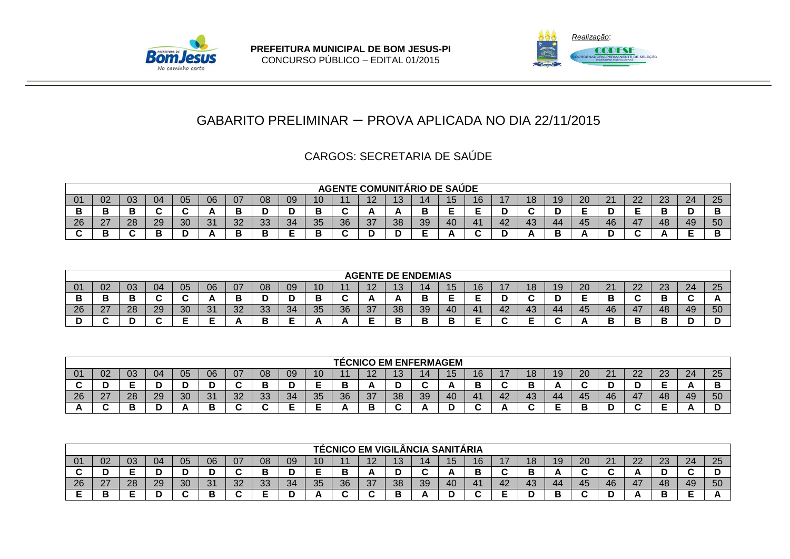



|           |                        |    |        |    |    |    |          |          |          |          | <b>AGENTE COMUNITÁRIO DE SAÚDE</b> |    |    |     |           |    |                               |    |    |    |                |              |    |    |
|-----------|------------------------|----|--------|----|----|----|----------|----------|----------|----------|------------------------------------|----|----|-----|-----------|----|-------------------------------|----|----|----|----------------|--------------|----|----|
|           | 02                     | 03 | 04     | 05 | 06 | 07 | 08       | 09       | 10       |          | $\sqrt{2}$<br>ı                    |    |    | ט ו | 1 C<br>10 |    | 18                            | 19 | 20 | ົ  | $\Omega$<br>∠∠ | $\sim$<br>دے | 24 | 25 |
|           | в<br>D                 |    | $\sim$ |    |    |    |          |          |          |          |                                    |    |    |     | -         |    | ~<br>$\overline{\phantom{a}}$ |    | -  |    | -              |              |    |    |
| nr<br>-40 | ົ<br>$\mathcal{L}_{1}$ | 28 | 29     | 30 | 31 | 32 | າາ<br>ບບ | $\Omega$ | 25<br>ບ∪ | วค<br>ບບ | 37                                 | 38 | 39 | 40  | 41        | 42 | 43                            | 44 | 45 | 46 | 47             | 48           | 49 | 50 |
|           | D<br>Р                 |    |        |    |    |    |          |          |          |          |                                    |    |    |     |           |    |                               |    |    |    |                |              |    |    |

|     |                     |        |    |          |           |          |    |    |    |    | <b>AGENTE DE ENDEMIAS</b> |    |     |    |        |    |    |    |    |    |    |          |    |    |
|-----|---------------------|--------|----|----------|-----------|----------|----|----|----|----|---------------------------|----|-----|----|--------|----|----|----|----|----|----|----------|----|----|
| -01 | 02                  | 03     | 04 | -05      | 06        | 07       | 08 | 09 | 10 |    | $\sqrt{2}$<br>. .         |    |     | ∪ו | 16     |    | 18 |    | 20 | 21 | 22 | ററ<br>دے | 24 | 25 |
|     |                     | −<br>Е | ∼  |          | n.        |          |    |    |    |    | ΓV.                       |    | . . | -  | -      |    |    |    | -  |    |    |          |    |    |
| 26  | דר<br>$\mathcal{L}$ | 28     | 29 | ാറ<br>ບບ | 24<br>ا ب | nr<br>ےں | 33 | 34 | 35 | 36 | 37                        | 38 | 39  | 40 | 41     | 42 | 43 | 44 | 45 | 46 | 47 | 48       | 49 | 50 |
|     |                     | . .    | ∼  |          | -         |          |    | -  |    |    |                           |    |     |    | -<br>- |    |    |    |    |    |    |          |    | ш  |

|    |                |    |    |    |                               |    |                          |     |    |    | <b>TÉCNICO EM ENFERMAGEM</b> |          |    |    |    |    |     |    |    |                |          |          |    |         |
|----|----------------|----|----|----|-------------------------------|----|--------------------------|-----|----|----|------------------------------|----------|----|----|----|----|-----|----|----|----------------|----------|----------|----|---------|
| 01 | 02             | 03 | 04 | 05 | 06                            | 07 | 08                       | 09  | 10 |    | 1 Q                          | 10<br>יי |    | ГJ | 16 |    | ΙO  | E  | 20 | C.<br><u>L</u> | ົດ<br>∠∠ | າາ<br>دے | 24 | 25      |
|    |                |    |    |    | -<br>ш                        | ∼  |                          |     | -  |    |                              |          |    |    |    |    | -   |    | ∼  |                |          |          | n. | D<br>ــ |
| 26 | ን7<br><u>_</u> | 28 | 29 | 30 | 31                            | 32 | ົາລ<br>ು                 | -34 | 35 | 36 | 37                           | 38       | 39 | 40 | 41 | 42 | -43 | 44 | 45 | 46             | 47       | 48       | 49 | 50      |
|    |                |    |    |    | $\overline{\phantom{a}}$<br>D | ∼  | $\overline{\phantom{a}}$ | -   | -  |    | ٠                            |          |    |    |    |    |     |    |    |                |          |          |    |         |

|     |    |    |    |    |        |          |    |    |                 |    | TÉCNICO EM VIGILÂNCIA SANITÁRIA |    |    |     |    |              |    |    |    |    |                |           |    |    |
|-----|----|----|----|----|--------|----------|----|----|-----------------|----|---------------------------------|----|----|-----|----|--------------|----|----|----|----|----------------|-----------|----|----|
| -01 | 02 | 03 | 04 | 05 | 06     | 07       | 08 | 09 | 10 <sub>1</sub> |    | -1.2                            |    |    | ט ו | 16 | $\mathbf{I}$ | 18 | 19 | 20 | 21 | $\Omega$<br>22 | റാ<br>ں ے | 24 | 25 |
|     |    | -  | н  |    |        |          | Р  |    | -               |    |                                 |    |    |     | P  |              |    |    |    |    |                |           | ~  |    |
| 26  | 27 | 28 | 29 | 30 | 31     | ററ<br>ےت | 33 | 34 | 35              | 36 | 37                              | 38 | 39 | 40  | 41 | 42           | 43 | 44 | 45 | 46 | 47             | 48        | 49 | 50 |
|     |    |    |    |    | Ð<br>- |          | -  |    |                 |    |                                 |    |    |     |    |              |    |    |    |    |                |           |    |    |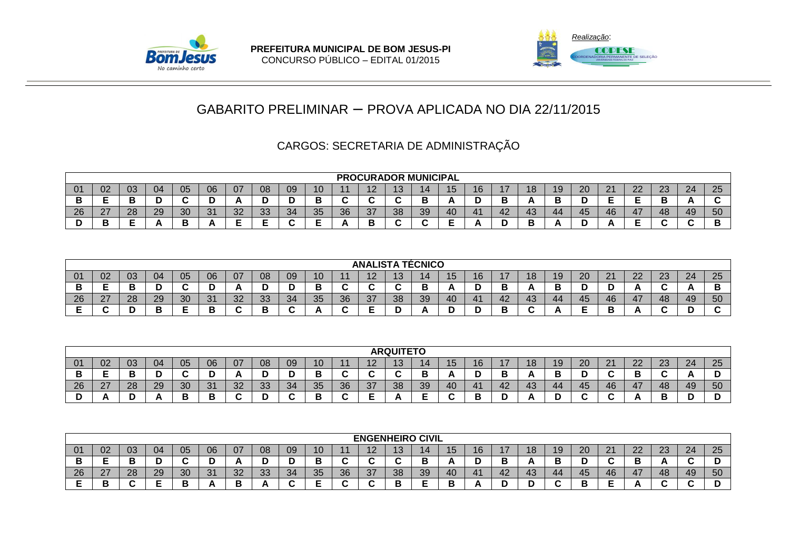



### CARGOS: SECRETARIA DE ADMINISTRAÇÃO

|     |             |          |    |    |                    |                |          |    |        |                      |                      |                          | <b>PROCURADOR MUNICIPAL</b> |    |       |        |           |                 |    |    |                 |          |    |    |
|-----|-------------|----------|----|----|--------------------|----------------|----------|----|--------|----------------------|----------------------|--------------------------|-----------------------------|----|-------|--------|-----------|-----------------|----|----|-----------------|----------|----|----|
| -01 | 02          | 03       | 04 | 05 | 06                 | 07             | 08       | 09 | 10     |                      | $\sqrt{ }$<br>$-$    |                          | 14                          |    |       |        | 1 O<br>ΙO | 19              | 20 | ິ  | ററ<br><u>__</u> | ົດ<br>دے | 24 | 25 |
|     |             |          |    |    |                    |                |          |    | Ð<br>P | $\ddot{\phantom{1}}$ | $\ddot{\phantom{1}}$ | $\overline{\phantom{a}}$ | Е                           |    | -     | Ð<br>Р | n         |                 |    |    |                 |          |    |    |
| 26  | $\sim$<br>- | റാ<br>∠o | 29 | 30 | $\mathbf{A}$<br>ິບ | $\Omega$<br>UZ | っっ<br>ບບ | 34 | 35     | 36                   | $\sim$<br>31         | 38                       | 39                          | 40 | $-41$ | 42     | 43        | $\Delta \Delta$ | 45 | 46 | 47              | 48       | 49 | 50 |
|     |             |          |    |    |                    |                |          |    | -<br>- |                      | -<br>▃               |                          |                             | -  |       |        | n         |                 |    |    |                 |          |    |    |

|    |                  |          |    |    |    |    |    |                |          |    |                          |    | <b>ANALISTA TÉCNICO</b> |    |                |    |    |                                 |    |                |           |    |    |
|----|------------------|----------|----|----|----|----|----|----------------|----------|----|--------------------------|----|-------------------------|----|----------------|----|----|---------------------------------|----|----------------|-----------|----|----|
|    | 02               | 03       | 04 | 05 | 06 | 07 | 08 | 09             | 10       |    | $\overline{\phantom{a}}$ |    |                         | ∪ו | 16             |    | 18 | 20                              | n, | $\Omega$<br>22 | ററ<br>ت ے | 24 | 25 |
|    |                  |          |    |    |    |    |    |                |          |    |                          |    | В                       |    |                |    | n  |                                 |    |                |           | Ð  |    |
| 26 | ^7<br><u>L I</u> | າ໑<br>∠o | 29 | 30 | 31 | 32 | 33 | $\Omega$<br>34 | 25<br>ບບ | 36 | 37                       | 38 | 39                      | 40 | $\overline{4}$ | 44 | 43 | 45                              | 46 | 47             | 48        | 49 | 50 |
|    | ີ                |          | ▫  |    |    |    |    |                |          |    |                          |    |                         |    |                |    |    | $\overline{\phantom{a}}$<br>. . |    |                |           |    |    |

|    |              |    |    |    |                               |    |           |    |        |    |     | <b>ARQUITETO</b> |    |    |    |    |     |    |        |                          |                |          |                 |     |
|----|--------------|----|----|----|-------------------------------|----|-----------|----|--------|----|-----|------------------|----|----|----|----|-----|----|--------|--------------------------|----------------|----------|-----------------|-----|
| 01 | 02           | 03 | 04 | 05 | 06                            | 07 | 08        | 09 | 10     |    | 1 Q | 40<br>טי         |    | ГJ | 16 |    | l O | E  | 20     | n,<br><u>L</u>           | າາ<br>∠∠       | າາ<br>دے | 24              | 25  |
|    |              |    |    |    | -<br>L                        |    |           |    | ╺<br>Р |    |     |                  |    |    |    |    |     | -  | -<br>∼ | $\sim$                   | Ð              |          | ΓN <sub>τ</sub> | . . |
| 26 | 27<br>$\sim$ | 28 | 29 | 30 | 31                            | 32 | ົາລ<br>აა | 34 | 35     | 36 | 37  | 38               | 39 | 40 | 41 | 44 | -43 | 44 | 45     | 46                       | 4 <sub>1</sub> | 48       | 49              | 50  |
|    | r.           |    |    |    | $\overline{\phantom{a}}$<br>D | ъ. |           |    | −<br>D |    | -   |                  |    |    |    |    |     |    | ~      | $\overline{\phantom{a}}$ | Ð              |          |                 |     |

|           |          |    |    |    |           |    |    |    |    |    | <b>ENGENHEIRO CIVIL</b>  |          |    |     |                |    |    |    |    |                 |                                 |           |    |        |
|-----------|----------|----|----|----|-----------|----|----|----|----|----|--------------------------|----------|----|-----|----------------|----|----|----|----|-----------------|---------------------------------|-----------|----|--------|
|           | 02       | 03 | 04 | 05 | 06        | 07 | 08 | 09 | 10 |    | ≀∠                       | 10<br>∪ו | 14 | 15. | 16             |    | ΙO | 19 | 20 | ດ 4<br><u>L</u> | ົດຕ<br>$\overline{\mathcal{L}}$ | מר<br>ں ے | 24 | 25     |
| ப         | -        |    |    |    |           |    |    |    |    |    | $\sim$<br>∼              | $\sim$   |    |     | -              |    |    |    |    |                 |                                 |           |    | -      |
| <b>26</b> | ົ<br>.cr | 28 | 29 | 30 | 21<br>ັບເ | ററ | 33 | 34 | 35 | 36 | 37                       | 38       | 39 | 40  | 4 <sub>1</sub> | 42 | 43 | 44 | 45 | 46              | 47                              | 48        | 49 | 50     |
|           | ╺<br>Р   |    |    |    |           |    |    |    |    |    | $\overline{\phantom{a}}$ |          |    |     |                |    |    |    |    |                 |                                 |           |    | -<br>ш |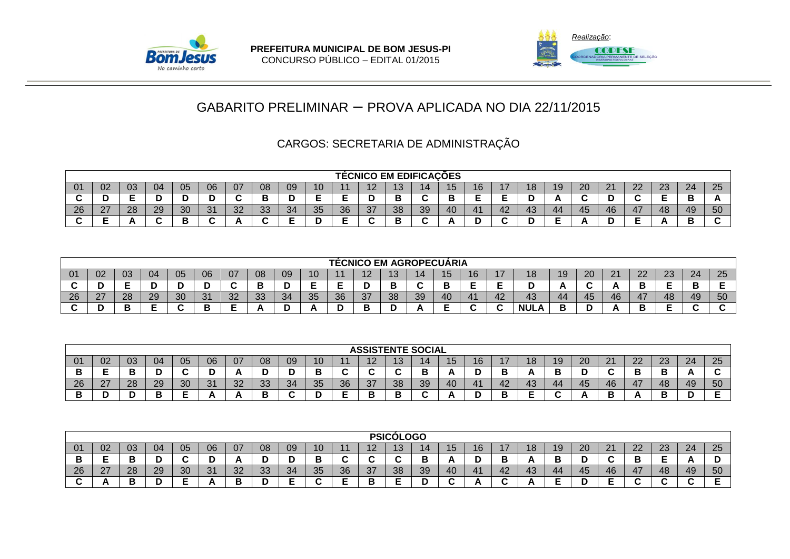



# CARGOS: SECRETARIA DE ADMINISTRAÇÃO

|    |        |    |    |    |    |                |    |                |          |          |               |    | <b>TÉCNICO EM EDIFICAÇÕES</b> |           |             |    |     |    |                      |    |    |          |    |    |
|----|--------|----|----|----|----|----------------|----|----------------|----------|----------|---------------|----|-------------------------------|-----------|-------------|----|-----|----|----------------------|----|----|----------|----|----|
| 01 | 02     | 03 | 04 | 05 | 06 | 07             | 08 | 09             | 10       |          | $\sqrt{ }$    | ı  |                               | ∪ו        | 16          |    | I O |    | 20                   | 21 | 22 | ററ<br>دے | 24 | 25 |
|    | -<br>υ |    |    |    |    |                |    |                |          |          |               | -  |                               |           |             |    |     |    | --                   |    |    |          |    |    |
| 26 | 27     | 28 | 29 | 30 | 31 | $\Omega$<br>ےت | 33 | $\Omega$<br>34 | 25<br>◡◡ | 36<br>◡◡ | $\sim$<br>ا ک | 38 | 39                            | <b>40</b> | $4^{\circ}$ | 42 | 43  | 44 | $\overline{ }$<br>45 | 46 | 47 | 48       | 49 | 50 |
|    | -      |    |    | L  |    |                |    |                |          |          |               | -  |                               |           |             |    |     |    |                      |    |    |          | -  |    |

|           |                  |          |    |    |    |    |    |     |          |    |             |                          | TÉCNICO EM AGROPECUARIA |    |    |     |             |    |     |                    |                |          |    |          |
|-----------|------------------|----------|----|----|----|----|----|-----|----------|----|-------------|--------------------------|-------------------------|----|----|-----|-------------|----|-----|--------------------|----------------|----------|----|----------|
|           | 02               | 03       | 04 | 05 | 06 | 07 | 08 | 09  | 10       |    |             | $\sqrt{2}$<br><u>. u</u> | 1 1                     | IV |    |     | 18          | 19 | 20  | $\Omega$<br>$\sim$ | $\Omega$<br>24 | റാ<br>د∠ | 24 | つに<br>دے |
|           |                  |          | -  |    |    |    | Р  |     |          |    |             | Ð                        |                         |    |    | -   |             |    |     |                    |                | -        | ◡  |          |
| 0C.<br>∠o | $\sim$<br>$\sim$ | റഠ<br>∠٥ | 29 | 30 | 31 | 32 | 33 | -34 | つに<br>◡◡ | 36 | $\sim$<br>ິ | 38                       | 30<br>∪ບ                | 40 | 41 | -42 | 43          | 44 | -45 | 46                 | 47             | 48       | 49 | 50       |
|           |                  |          |    |    |    |    |    |     |          |    |             |                          |                         |    |    |     | <b>NULA</b> | Р  |     |                    |                |          |    |          |

|     |             |              |        |    |    |                |    |    |        |    |             |        | <b>ASSISTENTE SOCIAL</b> |          |    |    |          |    |        |                    |          |          |                 |          |
|-----|-------------|--------------|--------|----|----|----------------|----|----|--------|----|-------------|--------|--------------------------|----------|----|----|----------|----|--------|--------------------|----------|----------|-----------------|----------|
|     | ୰∠          | $\sim$<br>◡◡ | 04     | 05 | 06 | 07             | 08 | 09 | 10     |    | . .         | $\sim$ |                          | --<br>∪ו | 16 |    | 1 O<br>U |    | 20     | $\sim$<br><u>_</u> | ററ<br>22 | റാ<br>∠∪ | 24              | つに<br>∠∪ |
| ◡   | --          |              |        |    |    |                |    | -  | Ð<br>P | ∼  | $\sim$<br>ີ |        | ◡                        |          |    |    | <u>r</u> |    | -<br>- | -                  |          | -        | ΓN <sub>τ</sub> |          |
| 26  | $\sim$<br>∠ | ററ<br>20     | 29     | 30 | 31 | $\Omega$<br>32 | 33 | 34 | 35     | 36 | 37          | 38     | 39                       | 40       | 41 | 42 | 43       | 44 | 45     | 46                 | 47       | 48       | 49              | 50       |
| . . |             |              | в<br>P | -  |    |                |    |    | n<br>υ | -  | г<br>P      | ш      |                          |          |    |    |          |    |        |                    |          |          |                 |          |

|                 |                  |        |    |          |           |     |           |    |          |    |    | <b>PSICÓLOGO</b> |    |    |                |    |     |    |                      |              |                   |           |    |    |
|-----------------|------------------|--------|----|----------|-----------|-----|-----------|----|----------|----|----|------------------|----|----|----------------|----|-----|----|----------------------|--------------|-------------------|-----------|----|----|
| $\overline{01}$ | 02               | -03    | 04 | 05       | 06        | 07  | 08        | 09 | 10       |    | -- |                  |    | ∪ו | 16             |    | 18  | 19 | 20                   | າ 1          | 22                | ററ<br>ت ے | 24 | 25 |
|                 | -                | г<br>- | ◡  |          | . .       |     |           |    |          |    |    |                  |    |    |                |    | . . |    | -<br>н               |              |                   |           |    | ັ  |
| -26             | $\sim$<br>$\sim$ | 28     | 29 | ാറ<br>ა∪ | - 24<br>ັ | ົດຕ | ົາລ<br>ഄഄ | 34 | 25<br>⊽⊽ | 36 | 37 | 38               | 39 | 40 | $\overline{a}$ | 42 | 43  |    | $\overline{ }$<br>45 | $46^{\circ}$ | $\Delta$ 7<br>. . | 48        | 49 | 50 |
|                 |                  | -      | н  |          | n         | . . |           |    |          |    |    |                  |    |    |                |    |     | −  |                      |              |                   |           |    |    |